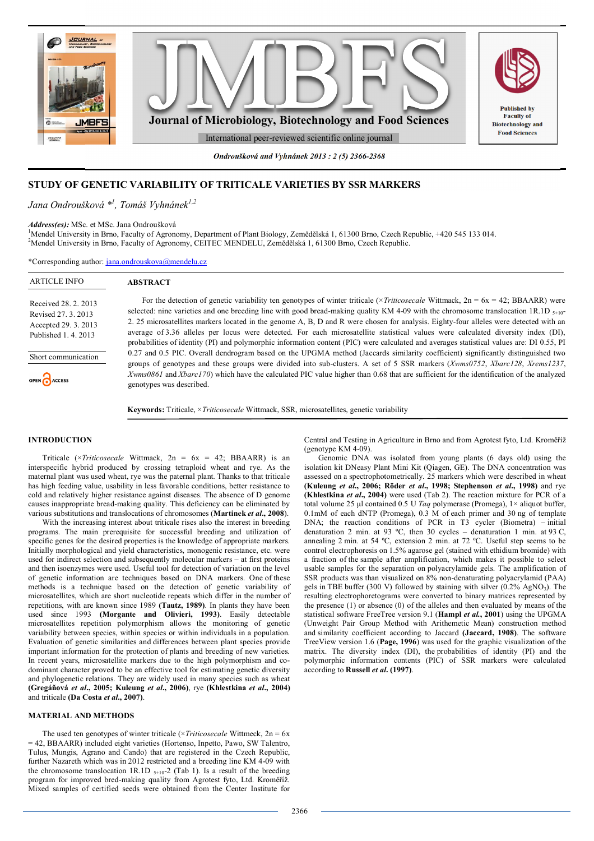

*Ondroušková and Vyhnánek 2013 : 2 (5) 2366-2368*

# **STUDY OF GENETIC VARIABILITY OF TRITICALE VARIETIES BY SSR MARKERS**

# *Jana Ondroušková \* 1 , Tomáš Vyhnánek1,2*

*Address(es):* MSc. et MSc. Jana Ondroušková

<sup>1</sup>Mendel University in Brno, Faculty of Agronomy, Department of Plant Biology, Zemědělská 1, 61300 Brno, Czech Republic, +420 545 133 014. <sup>2</sup>Mendel University in Brno, Faculty of Agronomy, CEITEC MENDELU, Zemědělská 1, 61300 Brno, Czech Republic.

\*Corresponding author: jana.ondrouskova@mendelu.cz

| <b>ARTICLE INFO</b>                                                                         | <b>ABSTRACT</b>                                                                                                                                                                                                                                                                                                                                                                                                                                                                                                                                                        |
|---------------------------------------------------------------------------------------------|------------------------------------------------------------------------------------------------------------------------------------------------------------------------------------------------------------------------------------------------------------------------------------------------------------------------------------------------------------------------------------------------------------------------------------------------------------------------------------------------------------------------------------------------------------------------|
| Received 28, 2, 2013<br>Revised 27, 3, 2013<br>Accepted 29. 3. 2013<br>Published 1, 4, 2013 | For the detection of genetic variability ten genotypes of winter triticale ( $\times Triico, scale$ Wittmack, $2n = 6x = 42$ ; BBAARR) were<br>selected: nine varieties and one breeding line with good bread-making quality KM 4-09 with the chromosome translocation 1R.1D $_{5+10}$ -<br>2. 25 microsatellites markers located in the genome A, B, D and R were chosen for analysis. Eighty-four alleles were detected with an<br>average of 3.36 alleles per locus were detected. For each microsatellite statistical values were calculated diversity index (DI), |
| Short communication                                                                         | probabilities of identity (PI) and polymorphic information content (PIC) were calculated and averages statistical values are: DI 0.55, PI<br>0.27 and 0.5 PIC. Overall dendrogram based on the UPGMA method (Jaccards similarity coefficient) significantly distinguished two<br>groups of genotypes and these groups were divided into sub-clusters. A set of 5 SSR markers (Xwms0752, Xbarc128, Xrems1237,                                                                                                                                                           |
| OPEN CACCESS                                                                                | Xwms0861 and Xbarc170) which have the calculated PIC value higher than 0.68 that are sufficient for the identification of the analyzed<br>genotypes was described.                                                                                                                                                                                                                                                                                                                                                                                                     |
|                                                                                             | <b>Keywords:</b> Triticale, <i>xTriticosecale</i> Wittmack, SSR, microsatellites, genetic variability                                                                                                                                                                                                                                                                                                                                                                                                                                                                  |

#### **INTRODUCTION**

Triticale (×*Triticosecale* Wittmack, 2n = 6x = 42; BBAARR) is an interspecific hybrid produced by crossing tetraploid wheat and rye. As the maternal plant was used wheat, rye was the paternal plant. Thanks to that triticale has high feeding value, usability in less favorable conditions, better resistance to cold and relatively higher resistance against diseases. The absence of D genome causes inappropriate bread-making quality. This deficiency can be eliminated by various substitutions and translocations of chromosomes (**Martinek** *et al***., 2008**).

With the increasing interest about triticale rises also the interest in breeding programs. The main prerequisite for successful breeding and utilization of specific genes for the desired properties is the knowledge of appropriate markers. Initially morphological and yield characteristics, monogenic resistance, etc. were used for indirect selection and subsequently molecular markers – at first proteins and then isoenzymes were used. Useful tool for detection of variation on the level of genetic information are techniques based on DNA markers. One of these methods is a technique based on the detection of genetic variability of microsatellites, which are short nucleotide repeats which differ in the number of repetitions, with are known since 1989 **(Tautz, 1989)**. In plants they have been used since 1993 **(Morgante and Olivieri, 1993)**. Easily detectable microsatellites repetition polymorphism allows the monitoring of genetic variability between species, within species or within individuals in a population. Evaluation of genetic similarities and differences between plant species provide important information for the protection of plants and breeding of new varieties. In recent years, microsatellite markers due to the high polymorphism and codominant character proved to be an effective tool for estimating genetic diversity and phylogenetic relations. They are widely used in many species such as wheat **(Gregáňová** *et al***., 2005; Kuleung** *et al***., 2006)**, rye **(Khlestkina** *et al***., 2004)** and triticale **(Da Costa** *et al***., 2007)**.

## **MATERIAL AND METHODS**

The used ten genotypes of winter triticale ( $\times Triicoscale$  Wittmeck,  $2n = 6x$ = 42, BBAARR) included eight varieties (Hortenso, Inpetto, Pawo, SW Talentro, Tulus, Mungis, Agrano and Cando) that are registered in the Czech Republic, further Nazareth which was in 2012 restricted and a breeding line KM 4-09 with the chromosome translocation 1R.1D  $_{5+10-2}$  (Tab 1). Is a result of the breeding program for improved bred-making quality from Agrotest fyto, Ltd. Kroměříž. Mixed samples of certified seeds were obtained from the Center Institute for

Central and Testing in Agriculture in Brno and from Agrotest fyto, Ltd. Kroměříž (genotype KM  $4-09$ ).

Genomic DNA was isolated from young plants (6 days old) using the isolation kit DNeasy Plant Mini Kit (Qiagen, GE). The DNA concentration was assessed on a spectrophotometrically. 25 markers which were described in wheat **(Kuleung** *et al***., 2006; Röder** *et al***., 1998; Stephenson** *et al***., 1998)** and rye **(Khlestkina** *et al***., 2004)** were used (Tab 2). The reaction mixture for PCR of a total volume 25 μl contained 0.5 U *Taq* polymerase (Promega), 1× aliquot buffer, 0.1mM of each dNTP (Promega), 0.3 M of each primer and 30 ng of template DNA; the reaction conditions of PCR in T3 cycler (Biometra) – initial denaturation 2 min. at 93 ºC, then 30 cycles – denaturation 1 min. at 93 C, annealing 2 min. at 54 ºC, extension 2 min. at 72 ºC. Useful step seems to be control electrophoresis on 1.5% agarose gel (stained with ethidium bromide) with a fraction of the sample after amplification, which makes it possible to select usable samples for the separation on polyacrylamide gels. The amplification of SSR products was than visualized on 8% non-denaturating polyacrylamid (PAA) gels in TBE buffer (300 V) followed by staining with silver  $(0.2\% \text{ AgNO}_3)$ . The resulting electrophoretograms were converted to binary matrices represented by the presence  $(1)$  or absence  $(0)$  of the alleles and then evaluated by means of the statistical software FreeTree version 9.1 (**Hampl** *et al.***, 2001**) using the UPGMA (Unweight Pair Group Method with Arithemetic Mean) construction method and similarity coefficient according to Jaccard **(Jaccard, 1908)**. The software TreeView version 1.6 (**Page, 1996**) was used for the graphic visualization of the matrix. The diversity index (DI), the probabilities of identity (PI) and the polymorphic information contents (PIC) of SSR markers were calculated according to **Russell** *et al***. (1997)**.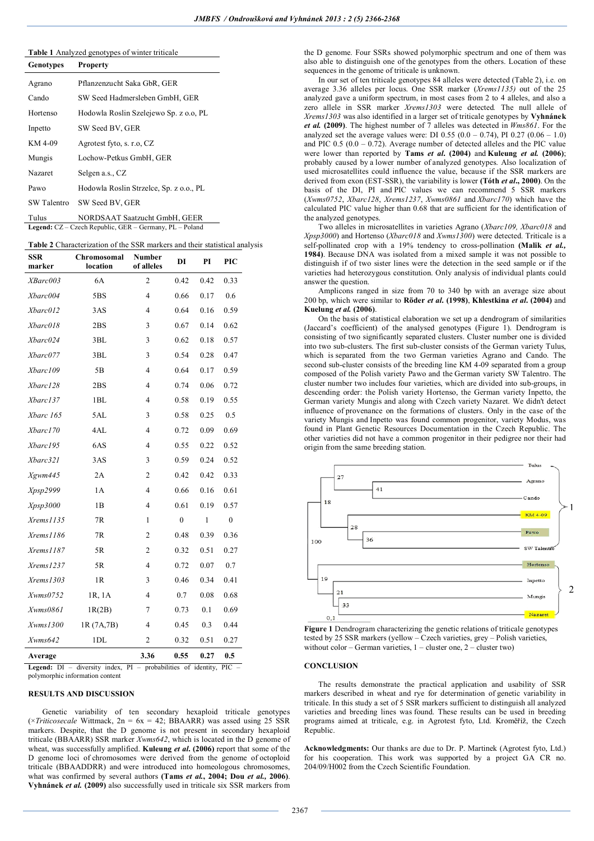## **Table 1** Analyzed genotypes of winter triticale

| <b>Genotypes</b> | <b>Property</b>                         |  |  |  |  |
|------------------|-----------------------------------------|--|--|--|--|
| Agrano           | Pflanzenzucht Saka GbR, GER             |  |  |  |  |
| Cando            | SW Seed Hadmersleben GmbH, GER          |  |  |  |  |
| Hortenso         | Hodowla Roslin Szelejewo Sp. z o.o. PL  |  |  |  |  |
| Inpetto          | SW Seed BV, GER                         |  |  |  |  |
| KM 4-09          | Agrotest fyto, s. r.o. CZ               |  |  |  |  |
| Mungis           | Lochow-Petkus GmbH, GER                 |  |  |  |  |
| Nazaret          | Selgen a.s., CZ                         |  |  |  |  |
| Pawo             | Hodowla Roslin Strzelce, Sp. z o.o., PL |  |  |  |  |
| SW Talentro      | SW Seed BV, GER                         |  |  |  |  |
| — 1              | $\frac{1}{2}$                           |  |  |  |  |

Tulus NORDSAAT Saatzucht GmbH, GEER **Legend:** CZ – Czech Republic, GER – Germany, PL – Poland

### **Table 2** Characterization of the SSR markers and their statistical analysis

| SSR<br>marker       | Chromosomal<br>location | Number<br>of alleles | DI               | PI           | PIC              |
|---------------------|-------------------------|----------------------|------------------|--------------|------------------|
| XBarc003            | 6A                      | $\overline{c}$       | 0.42             | 0.42         | 0.33             |
| Xbarc004            | 5BS                     | 4                    | 0.66             | 0.17         | 0.6              |
| Xbarc012            | 3AS                     | 4                    | 0.64             | 0.16         | 0.59             |
| Xbarc018            | 2BS                     | 3                    | 0.67             | 0.14         | 0.62             |
| Xbarc024            | 3BL                     | 3                    | 0.62             | 0.18         | 0.57             |
| Xbarc077            | 3BL                     | 3                    | 0.54             | 0.28         | 0.47             |
| Xbarc109            | 5B                      | 4                    | 0.64             | 0.17         | 0.59             |
| Xbarc128            | 2BS                     | 4                    | 0.74             | 0.06         | 0.72             |
| Xbarc137            | 1BL                     | 4                    | 0.58             | 0.19         | 0.55             |
| Xbarc 165           | 5AL                     | 3                    | 0.58             | 0.25         | 0.5              |
| Xbarc170            | 4AL                     | 4                    | 0.72             | 0.09         | 0.69             |
| Xbarc195            | 6AS                     | 4                    | 0.55             | 0.22         | 0.52             |
| Xbarc321            | 3AS                     | 3                    | 0.59             | 0.24         | 0.52             |
| Xgwm445             | 2A                      | $\overline{c}$       | 0.42             | 0.42         | 0.33             |
| <i>Xpsp2999</i>     | 1A                      | 4                    | 0.66             | 0.16         | 0.61             |
| Xpsp3000            | 1B                      | 4                    | 0.61             | 0.19         | 0.57             |
| Xrems1135           | 7R                      | 1                    | $\boldsymbol{0}$ | $\mathbf{1}$ | $\boldsymbol{0}$ |
| Xrems1186           | 7R                      | $\overline{c}$       | 0.48             | 0.39         | 0.36             |
| Xrems1187           | 5R                      | 2                    | 0.32             | 0.51         | 0.27             |
| Xrems1237           | 5R                      | 4                    | 0.72             | 0.07         | 0.7              |
| $X$ rems $1303$     | 1R                      | 3                    | 0.46             | 0.34         | 0.41             |
| $X \text{wms} 0752$ | 1R, 1A                  | 4                    | 0.7              | 0.08         | 0.68             |
| Xwms0861            | 1R(2B)                  | 7                    | 0.73             | 0.1          | 0.69             |
| Xwms1300            | 1R (7A,7B)              | 4                    | 0.45             | 0.3          | 0.44             |
| $X \text{wms} 642$  | 1DL                     | $\overline{2}$       | 0.32             | 0.51         | 0.27             |
| Average             |                         | 3.36                 | 0.55             | 0.27         | 0.5              |

**Legend:** DI – diversity index, PI – probabilities of identity, PIC – polymorphic information content

#### **RESULTS AND DISCUSSION**

Genetic variability of ten secondary hexaploid triticale genotypes  $(\times Triticosecale Wittmack, 2n = 6x = 42; BBAARR)$  was assed using 25 SSR markers. Despite, that the D genome is not present in secondary hexaploid triticale (BBAARR) SSR marker *Xwms642*, which is located in the D genome of wheat, was successfully amplified. **Kuleung** *et al***. (2006)** report that some of the D genome loci of chromosomes were derived from the genome of octoploid triticale (BBAADDRR) and were introduced into homeologous chromosomes, what was confirmed by several authors **(Tams** *et al.***, 2004; Dou** *et al.,* **2006)**. **Vyhnánek** *et al.* **(2009)** also successfully used in triticale six SSR markers from

the D genome. Four SSRs showed polymorphic spectrum and one of them was also able to distinguish one of the genotypes from the others. Location of these sequences in the genome of triticale is unknown.

In our set of ten triticale genotypes 84 alleles were detected (Table 2), i.e. on average 3.36 alleles per locus. One SSR marker (*Xrems1135)* out of the 25 analyzed gave a uniform spectrum, in most cases from 2 to 4 alleles, and also a zero allele in SSR marker *Xrems1303* were detected*.* The null allele of *Xrems1303* was also identified in a larger set of triticale genotypes by **Vyhnánek**  *et al.* **(2009)**. The highest number of 7 alleles was detected in *Wms861*. For the analyzed set the average values were: DI 0.55  $(0.0 - 0.74)$ , PI 0.27  $(0.06 - 1.0)$ and PIC 0.5 (0.0 – 0.72). Average number of detected alleles and the PIC value were lower than reported by **Tams** *et al***. (2004)** and **Kuleung** *et al.* **(2006)**; probably caused by a lower number of analyzed genotypes. Also localization of used microsatellites could influence the value, because if the SSR markers are derived from exon (EST-SSR), the variability is lower **(Tóth** *et al***., 2000)**. On the basis of the DI, PI and PIC values we can recommend 5 SSR markers (*Xwms0752*, *Xbarc128*, *Xrems1237*, *Xwms0861* and *Xbarc170*) which have the calculated PIC value higher than 0.68 that are sufficient for the identification of the analyzed genotypes.

Two alleles in microsatellites in varieties Agrano (*Xbarc109, Xbarc018* and *Xpsp3000*) and Hortenso (*Xbarc018* and *Xwms1300*) were detected. Triticale is a self-pollinated crop with a 19% tendency to cross-pollination **(Malik** *et al.,* **1984)**. Because DNA was isolated from a mixed sample it was not possible to distinguish if of two sister lines were the detection in the seed sample or if the varieties had heterozygous constitution. Only analysis of individual plants could answer the question.

Amplicons ranged in size from 70 to 340 bp with an average size about 200 bp, which were similar to **Röder** *et al***. (1998)**, **Khlestkina** *et al***. (2004)** and **Kuelung** *et al.* **(2006)**.

On the basis of statistical elaboration we set up a dendrogram of similarities (Jaccard's coefficient) of the analysed genotypes (Figure 1). Dendrogram is consisting of two significantly separated clusters. Cluster number one is divided into two sub-clusters. The first sub-cluster consists of the German variety Tulus, which is separated from the two German varieties Agrano and Cando. The second sub-cluster consists of the breeding line KM 4-09 separated from a group composed of the Polish variety Pawo and the German variety SW Talentro. The cluster number two includes four varieties, which are divided into sub-groups, in descending order: the Polish variety Hortenso, the German variety Inpetto, the German variety Mungis and along with Czech variety Nazaret. We didn't detect influence of provenance on the formations of clusters. Only in the case of the variety Mungis and Inpetto was found common progenitor, variety Modus, was found in Plant Genetic Resources Documentation in the Czech Republic. The other varieties did not have a common progenitor in their pedigree nor their had origin from the same breeding station.



**Figure 1** Dendrogram characterizing the genetic relations of triticale genotypes tested by 25 SSR markers (yellow – Czech varieties, grey – Polish varieties, without color – German varieties,  $1$  – cluster one,  $2$  – cluster two)

#### **CONCLUSION**

The results demonstrate the practical application and usability of SSR markers described in wheat and rye for determination of genetic variability in triticale. In this study a set of 5 SSR markers sufficient to distinguish all analyzed varieties and breeding lines was found. These results can be used in breeding programs aimed at triticale, e.g. in Agrotest fyto, Ltd. Kroměříž, the Czech Republic.

**Acknowledgments:** Our thanks are due to Dr. P. Martinek (Agrotest fyto, Ltd.) for his cooperation. This work was supported by a project GA CR no. 204/09/H002 from the Czech Scientific Foundation.